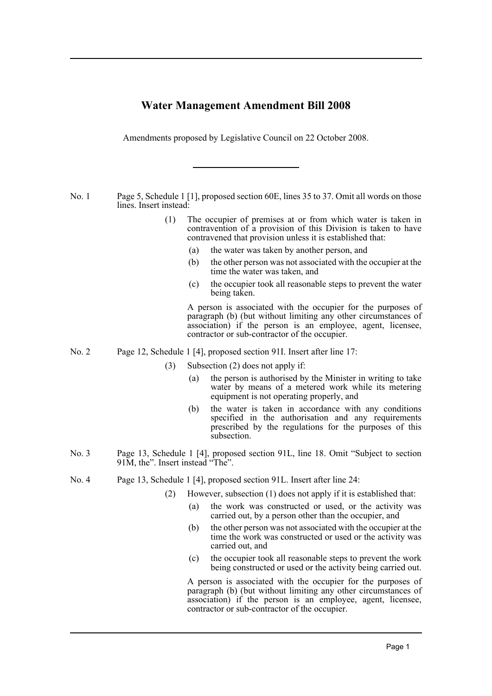## **Water Management Amendment Bill 2008**

Amendments proposed by Legislative Council on 22 October 2008.

No. 1 Page 5, Schedule 1 [1], proposed section 60E, lines 35 to 37. Omit all words on those lines. Insert instead:

- (1) The occupier of premises at or from which water is taken in contravention of a provision of this Division is taken to have contravened that provision unless it is established that:
	- (a) the water was taken by another person, and
	- (b) the other person was not associated with the occupier at the time the water was taken, and
	- (c) the occupier took all reasonable steps to prevent the water being taken.

A person is associated with the occupier for the purposes of paragraph (b) (but without limiting any other circumstances of association) if the person is an employee, agent, licensee, contractor or sub-contractor of the occupier.

- No. 2 Page 12, Schedule 1 [4], proposed section 91I. Insert after line 17:
	- (3) Subsection (2) does not apply if:
		- (a) the person is authorised by the Minister in writing to take water by means of a metered work while its metering equipment is not operating properly, and
		- (b) the water is taken in accordance with any conditions specified in the authorisation and any requirements prescribed by the regulations for the purposes of this subsection.
- No. 3 Page 13, Schedule 1 [4], proposed section 91L, line 18. Omit "Subject to section 91M, the". Insert instead "The".
- No. 4 Page 13, Schedule 1 [4], proposed section 91L. Insert after line 24:
	- (2) However, subsection (1) does not apply if it is established that:
		- (a) the work was constructed or used, or the activity was carried out, by a person other than the occupier, and
		- (b) the other person was not associated with the occupier at the time the work was constructed or used or the activity was carried out, and
		- (c) the occupier took all reasonable steps to prevent the work being constructed or used or the activity being carried out.

A person is associated with the occupier for the purposes of paragraph (b) (but without limiting any other circumstances of association) if the person is an employee, agent, licensee, contractor or sub-contractor of the occupier.